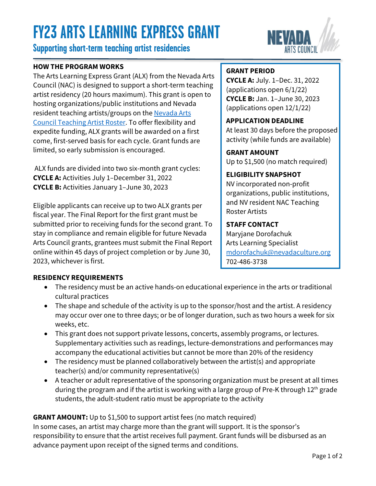# **FY23 ARTS LEARNING EXPRESS GRANT**

# **Supporting short-term teaching artist residencies**

## **HOW THE PROGRAM WORKS**

The Arts Learning Express Grant (ALX) from the Nevada Arts Council (NAC) is designed to support a short-term teaching artist residency (20 hours maximum). This grant is open to hosting organizations/public institutions and Nevada resident teaching artists/groups on the Nevada Arts Council [Teaching Artist Roster.](https://www.nvartscouncil.org/rosters/teaching-artists/) To offer flexibility and expedite funding, ALX grants will be awarded on a first come, first-served basis for each cycle. Grant funds are limited, so early submission is encouraged.

ALX funds are divided into two six-month grant cycles: **CYCLE A:** Activities July 1–December 31, 2022 **CYCLE B:** Activities January 1–June 30, 2023

Eligible applicants can receive up to two ALX grants per fiscal year. The Final Report for the first grant must be submitted prior to receiving funds for the second grant. To stay in compliance and remain eligible for future Nevada Arts Council grants, grantees must submit the Final Report online within 45 days of project completion or by June 30, 2023, whichever is first.

# **GRANT PERIOD**

**CYCLE A:** July. 1–Dec. 31, 2022 (applications open 6/1/22) **CYCLE B:** Jan. 1–June 30, 2023 (applications open 12/1/22)

**APPLICATION DEADLINE** At least 30 days before the proposed activity (while funds are available)

**GRANT AMOUNT** Up to \$1,500 (no match required)

## **ELIGIBILITY SNAPSHOT**

NV incorporated non-profit organizations, public institutions, and NV resident NAC Teaching Roster Artists

## **STAFF CONTACT**

Maryjane Dorofachuk Arts Learning Specialist [mdorofachuk@nevadaculture.org](mailto: mdorofachuk@nevadaculture.org) 702-486-3738

## **RESIDENCY REQUIREMENTS**

- The residency must be an active hands-on educational experience in the arts or traditional cultural practices
- The shape and schedule of the activity is up to the sponsor/host and the artist. A residency may occur over one to three days; or be of longer duration, such as two hours a week for six weeks, etc.
- This grant does not support private lessons, concerts, assembly programs, or lectures. Supplementary activities such as readings, lecture-demonstrations and performances may accompany the educational activities but cannot be more than 20% of the residency
- The residency must be planned collaboratively between the artist(s) and appropriate teacher(s) and/or community representative(s)
- A teacher or adult representative of the sponsoring organization must be present at all times during the program and if the artist is working with a large group of Pre-K through  $12<sup>th</sup>$  grade students, the adult-student ratio must be appropriate to the activity

# **GRANT AMOUNT:** Up to \$1,500 to support artist fees (no match required)

In some cases, an artist may charge more than the grant will support. It is the sponsor's responsibility to ensure that the artist receives full payment. Grant funds will be disbursed as an advance payment upon receipt of the signed terms and conditions.